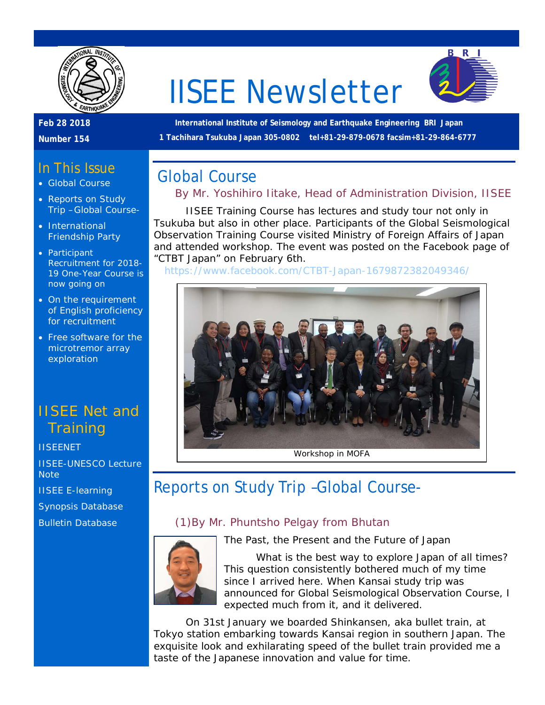

# IISEE Newsletter



#### **Feb 28 2018**

**Number 154**

#### **International Institute of Seismology and Earthquake Engineering BRI Japan 1 Tachihara Tsukuba Japan 305-0802 tel+81-29-879-0678 facsim+81-29-864-6777**

## In This Issue

- Global Course
- Reports on Study Trip –Global Course-
- International Friendship Party
- Participant Recruitment for 2018- 19 One-Year Course is now going on
- On the requirement of English proficiency for recruitment
- Free software for the microtremor array exploration

## IISEE Net and **Training**

**[IISEENET](http://iisee.kenken.go.jp/net/)** [IISEE-UNESCO Lecture](http://iisee/lna/)  **[Note](http://iisee/lna/)** 

[IISEE E-learning](http://iisee/el/)

[Synopsis Database](http://iisee/syndb/)

[Bulletin Database](http://iisee/bltndb/)



# Global Course

## *By Mr. Yoshihiro Iitake, Head of Administration Division, IISEE*

IISEE Training Course has lectures and study tour not only in Tsukuba but also in other place. Participants of the Global Seismological Observation Training Course visited Ministry of Foreign Affairs of Japan and attended workshop. The event was posted on the Facebook page of "CTBT Japan" on February 6th.

<https://www.facebook.com/CTBT-Japan-1679872382049346/>



Workshop in MOFA

# Reports on Study Trip –Global Course-

### *(1)By Mr. Phuntsho Pelgay from Bhutan*



The Past, the Present and the Future of Japan

What is the best way to explore Japan of all times? This question consistently bothered much of my time since I arrived here. When Kansai study trip was announced for Global Seismological Observation Course, I expected much from it, and it delivered.

On 31st January we boarded Shinkansen, aka bullet train, at Tokyo station embarking towards Kansai region in southern Japan. The exquisite look and exhilarating speed of the bullet train provided me a taste of the Japanese innovation and value for time.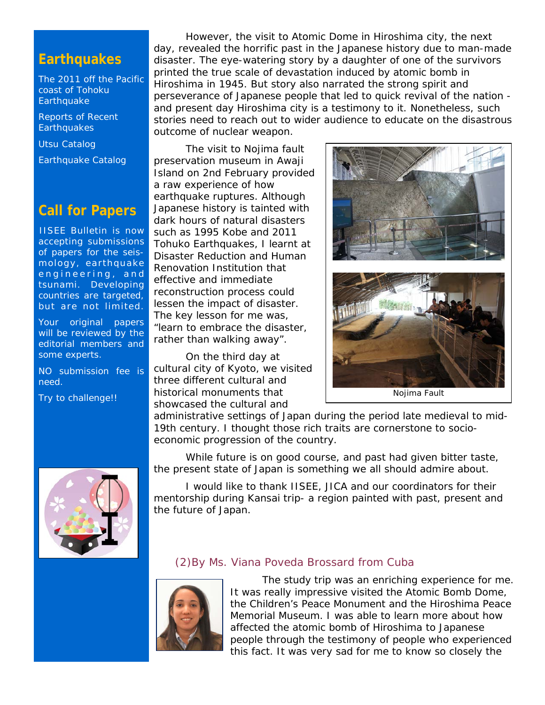## **Earthquakes**

[The 2011 off the Pacific](http://iisee/special2/20110311tohoku.htm)  [coast of Tohoku](http://iisee/special2/20110311tohoku.htm)  **[Earthquake](http://iisee/special2/20110311tohoku.htm)** 

[Reports of Recent](http://iisee/quakes.htm)  **[Earthquakes](http://iisee/quakes.htm)** 

[Utsu Catalog](http://iisee/utsu/index_eng.html)

[Earthquake Catalog](http://iisee/eqcat/Top_page_en.htm)

## **Call for Papers**

IISEE Bulletin is now accepting submissions of papers for the seismology, earthquake engineering, and tsunami. Developing countries are targeted, but are not limited.

Your original papers will be reviewed by the editorial members and some experts.

NO submission fee is need.

Try to challenge!!

However, the visit to Atomic Dome in Hiroshima city, the next day, revealed the horrific past in the Japanese history due to man-made disaster. The eye-watering story by a daughter of one of the survivors printed the true scale of devastation induced by atomic bomb in Hiroshima in 1945. But story also narrated the strong spirit and perseverance of Japanese people that led to quick revival of the nation and present day Hiroshima city is a testimony to it. Nonetheless, such stories need to reach out to wider audience to educate on the disastrous outcome of nuclear weapon.

The visit to Nojima fault preservation museum in Awaji Island on 2nd February provided a raw experience of how earthquake ruptures. Although Japanese history is tainted with dark hours of natural disasters such as 1995 Kobe and 2011 Tohuko Earthquakes, I learnt at Disaster Reduction and Human Renovation Institution that effective and immediate reconstruction process could lessen the impact of disaster. The key lesson for me was, "learn to embrace the disaster, rather than walking away".

On the third day at cultural city of Kyoto, we visited three different cultural and historical monuments that showcased the cultural and

administrative settings of Japan during the period late medieval to mid-19th century. I thought those rich traits are cornerstone to socioeconomic progression of the country.

While future is on good course, and past had given bitter taste, the present state of Japan is something we all should admire about.

I would like to thank IISEE, JICA and our coordinators for their mentorship during Kansai trip- a region painted with past, present and the future of Japan.



#### *(2)By Ms. Viana Poveda Brossard from Cuba*



The study trip was an enriching experience for me. It was really impressive visited the Atomic Bomb Dome, the Children's Peace Monument and the Hiroshima Peace Memorial Museum. I was able to learn more about how affected the atomic bomb of Hiroshima to Japanese people through the testimony of people who experienced this fact. It was very sad for me to know so closely the



Nojima Fault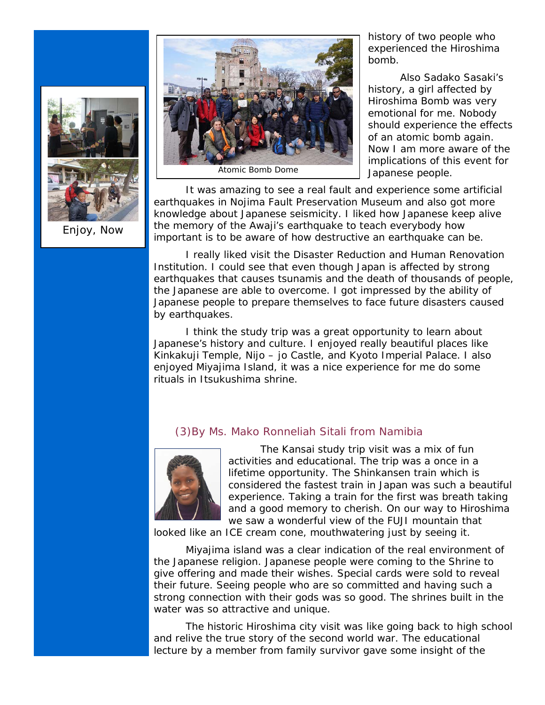

Enjoy, Now



Atomic Bomb Dome

history of two people who experienced the Hiroshima bomb.

Also Sadako Sasaki's history, a girl affected by Hiroshima Bomb was very emotional for me. Nobody should experience the effects of an atomic bomb again. Now I am more aware of the implications of this event for Japanese people.

It was amazing to see a real fault and experience some artificial earthquakes in Nojima Fault Preservation Museum and also got more knowledge about Japanese seismicity. I liked how Japanese keep alive the memory of the Awaji's earthquake to teach everybody how important is to be aware of how destructive an earthquake can be.

I really liked visit the Disaster Reduction and Human Renovation Institution. I could see that even though Japan is affected by strong earthquakes that causes tsunamis and the death of thousands of people, the Japanese are able to overcome. I got impressed by the ability of Japanese people to prepare themselves to face future disasters caused by earthquakes.

I think the study trip was a great opportunity to learn about Japanese's history and culture. I enjoyed really beautiful places like Kinkakuji Temple, Nijo – jo Castle, and Kyoto Imperial Palace. I also enjoyed Miyajima Island, it was a nice experience for me do some rituals in Itsukushima shrine.

#### *(3)By Ms. Mako Ronneliah Sitali from Namibia*



The Kansai study trip visit was a mix of fun activities and educational. The trip was a once in a lifetime opportunity. The Shinkansen train which is considered the fastest train in Japan was such a beautiful experience. Taking a train for the first was breath taking and a good memory to cherish. On our way to Hiroshima we saw a wonderful view of the FUJI mountain that

looked like an ICE cream cone, mouthwatering just by seeing it.

Miyajima island was a clear indication of the real environment of the Japanese religion. Japanese people were coming to the Shrine to give offering and made their wishes. Special cards were sold to reveal their future. Seeing people who are so committed and having such a strong connection with their gods was so good. The shrines built in the water was so attractive and unique.

The historic Hiroshima city visit was like going back to high school and relive the true story of the second world war. The educational lecture by a member from family survivor gave some insight of the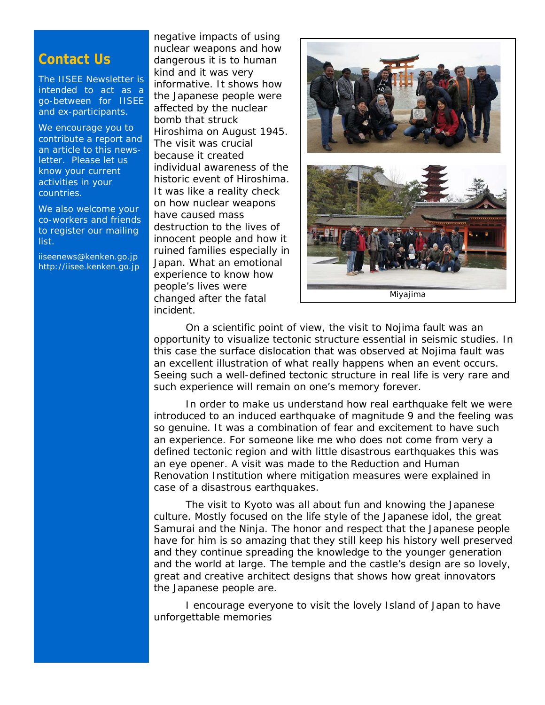## **Contact Us**

The IISEE Newsletter is intended to act as a go-between for IISEE and ex-participants.

We encourage you to contribute a report and an article to this newsletter. Please let us know your current activities in your countries.

We also welcome your co-workers and friends to register our mailing list.

iiseenews@kenken.go.jp [http://iisee.kenken.go.jp](http://iisee.kenken.go.jp/)

negative impacts of using nuclear weapons and how dangerous it is to human kind and it was very informative. It shows how the Japanese people were affected by the nuclear bomb that struck Hiroshima on August 1945. The visit was crucial because it created individual awareness of the historic event of Hiroshima. It was like a reality check on how nuclear weapons have caused mass destruction to the lives of innocent people and how it ruined families especially in Japan. What an emotional experience to know how people's lives were changed after the fatal incident.



On a scientific point of view, the visit to Nojima fault was an opportunity to visualize tectonic structure essential in seismic studies. In this case the surface dislocation that was observed at Nojima fault was an excellent illustration of what really happens when an event occurs. Seeing such a well-defined tectonic structure in real life is very rare and such experience will remain on one's memory forever.

In order to make us understand how real earthquake felt we were introduced to an induced earthquake of magnitude 9 and the feeling was so genuine. It was a combination of fear and excitement to have such an experience. For someone like me who does not come from very a defined tectonic region and with little disastrous earthquakes this was an eye opener. A visit was made to the Reduction and Human Renovation Institution where mitigation measures were explained in case of a disastrous earthquakes.

The visit to Kyoto was all about fun and knowing the Japanese culture. Mostly focused on the life style of the Japanese idol, the great Samurai and the Ninja. The honor and respect that the Japanese people have for him is so amazing that they still keep his history well preserved and they continue spreading the knowledge to the younger generation and the world at large. The temple and the castle's design are so lovely, great and creative architect designs that shows how great innovators the Japanese people are.

I encourage everyone to visit the lovely Island of Japan to have unforgettable memories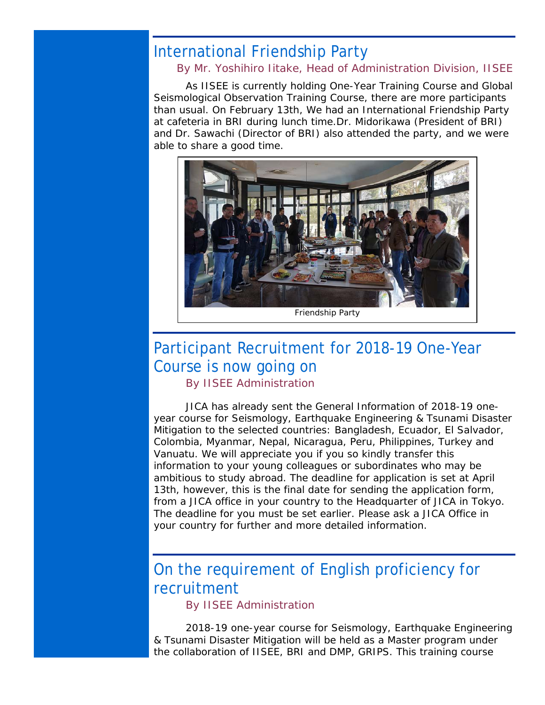# International Friendship Party

#### *By Mr. Yoshihiro Iitake, Head of Administration Division, IISEE*

As IISEE is currently holding One-Year Training Course and Global Seismological Observation Training Course, there are more participants than usual. On February 13th, We had an International Friendship Party at cafeteria in BRI during lunch time.Dr. Midorikawa (President of BRI) and Dr. Sawachi (Director of BRI) also attended the party, and we were able to share a good time.



Friendship Party

# Participant Recruitment for 2018-19 One-Year Course is now going on

*By IISEE Administration*

JICA has already sent the General Information of 2018-19 oneyear course for Seismology, Earthquake Engineering & Tsunami Disaster Mitigation to the selected countries: Bangladesh, Ecuador, El Salvador, Colombia, Myanmar, Nepal, Nicaragua, Peru, Philippines, Turkey and Vanuatu. We will appreciate you if you so kindly transfer this information to your young colleagues or subordinates who may be ambitious to study abroad. The deadline for application is set at April 13th, however, this is the final date for sending the application form, from a JICA office in your country to the Headquarter of JICA in Tokyo. The deadline for you must be set earlier. Please ask a JICA Office in your country for further and more detailed information.

# On the requirement of English proficiency for recruitment

*By IISEE Administration*

2018-19 one-year course for Seismology, Earthquake Engineering & Tsunami Disaster Mitigation will be held as a Master program under the collaboration of IISEE, BRI and DMP, GRIPS. This training course